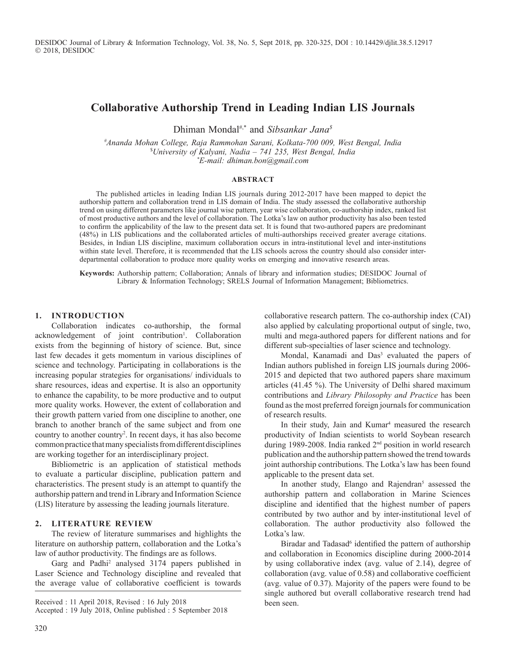DESIDOC Journal of Library & Information Technology, Vol. 38, No. 5, Sept 2018, pp. 320-325, DOI : 10.14429/djlit.38.5.12917 2018, DESIDOC

# **Collaborative Authorship Trend in Leading Indian LIS Journals**

Dhiman Mondal#,\* and *Sibsankar Jana\$*

*# Ananda Mohan College, Raja Rammohan Sarani, Kolkata-700 009, West Bengal, India* \$ *University of Kalyani, Nadia – 741 235, West Bengal, India \* E-mail: dhiman.bon@gmail.com*

#### **Abstract**

The published articles in leading Indian LIS journals during 2012-2017 have been mapped to depict the authorship pattern and collaboration trend in LIS domain of India. The study assessed the collaborative authorship trend on using different parameters like journal wise pattern, year wise collaboration, co-authorship index, ranked list of most productive authors and the level of collaboration. The Lotka's law on author productivity has also been tested to confirm the applicability of the law to the present data set. It is found that two-authored papers are predominant (48%) in LIS publications and the collaborated articles of multi-authorships received greater average citations. Besides, in Indian LIS discipline, maximum collaboration occurs in intra-institutional level and inter-institutions within state level. Therefore, it is recommended that the LIS schools across the country should also consider interdepartmental collaboration to produce more quality works on emerging and innovative research areas.

**Keywords:** Authorship pattern; Collaboration; Annals of library and information studies; DESIDOC Journal of Library & Information Technology; SRELS Journal of Information Management; Bibliometrics.

#### **1. Introduction**

Collaboration indicates co-authorship, the formal acknowledgement of joint contribution<sup>1</sup>. Collaboration exists from the beginning of history of science. But, since last few decades it gets momentum in various disciplines of science and technology. Participating in collaborations is the increasing popular strategies for organisations/ individuals to share resources, ideas and expertise. It is also an opportunity to enhance the capability, to be more productive and to output more quality works. However, the extent of collaboration and their growth pattern varied from one discipline to another, one branch to another branch of the same subject and from one country to another country<sup>2</sup>. In recent days, it has also become common practice that many specialists from different disciplines are working together for an interdisciplinary project.

Bibliometric is an application of statistical methods to evaluate a particular discipline, publication pattern and characteristics. The present study is an attempt to quantify the authorship pattern and trend in Library and Information Science (LIS) literature by assessing the leading journals literature.

### **2. literature Review**

The review of literature summarises and highlights the literature on authorship pattern, collaboration and the Lotka's law of author productivity. The findings are as follows.

Garg and Padhi<sup>2</sup> analysed 3174 papers published in Laser Science and Technology discipline and revealed that the average value of collaborative coefficient is towards

Received : 11 April 2018, Revised : 16 July 2018 Accepted : 19 July 2018, Online published : 5 September 2018 collaborative research pattern. The co-authorship index (CAI) also applied by calculating proportional output of single, two, multi and mega-authored papers for different nations and for different sub-specialties of laser science and technology.

Mondal, Kanamadi and Das<sup>3</sup> evaluated the papers of Indian authors published in foreign LIS journals during 2006- 2015 and depicted that two authored papers share maximum articles (41.45 %). The University of Delhi shared maximum contributions and *Library Philosophy and Practice* has been found as the most preferred foreign journals for communication of research results.

In their study, Jain and Kumar<sup>4</sup> measured the research productivity of Indian scientists to world Soybean research during 1989-2008. India ranked 2<sup>nd</sup> position in world research publication and the authorship pattern showed the trend towards joint authorship contributions. The Lotka's law has been found applicable to the present data set.

In another study, Elango and Rajendran<sup>5</sup> assessed the authorship pattern and collaboration in Marine Sciences discipline and identified that the highest number of papers contributed by two author and by inter-institutional level of collaboration. The author productivity also followed the Lotka's law.

Biradar and Tadasad<sup>6</sup> identified the pattern of authorship and collaboration in Economics discipline during 2000-2014 by using collaborative index (avg. value of 2.14), degree of collaboration (avg. value of 0.58) and collaborative coefficient (avg. value of 0.37). Majority of the papers were found to be single authored but overall collaborative research trend had been seen.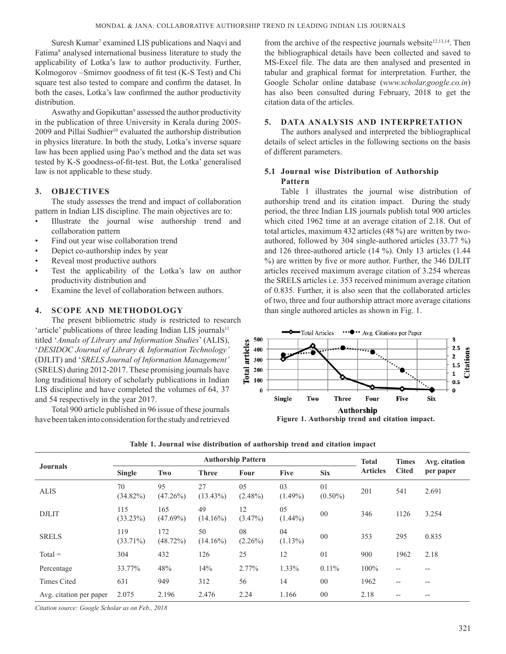Suresh Kumar<sup>7</sup> examined LIS publications and Naqvi and Fatima<sup>8</sup> analysed international business literature to study the applicability of Lotka's law to author productivity. Further, Kolmogorov –Smirnov goodness of fit test (K-S Test) and Chi square test also tested to compare and confirm the dataset. In both the cases, Lotka's law confirmed the author productivity distribution.

Aswathy and Gopikuttan<sup>9</sup> assessed the author productivity in the publication of three University in Kerala during 2005- 2009 and Pillai Sudhier<sup>10</sup> evaluated the authorship distribution in physics literature. In both the study, Lotka's inverse square law has been applied using Pao's method and the data set was tested by K-S goodness-of-fit-test. But, the Lotka' generalised law is not applicable to these study.

## **3. Objectives**

The study assesses the trend and impact of collaboration pattern in Indian LIS discipline. The main objectives are to:

- Illustrate the journal wise authorship trend and collaboration pattern
- Find out year wise collaboration trend
- Depict co-authorship index by year
- Reveal most productive authors
- Test the applicability of the Lotka's law on author productivity distribution and
- Examine the level of collaboration between authors.

## **4. Scope and methodology**

The present bibliometric study is restricted to research 'article' publications of three leading Indian LIS journals<sup>11</sup> titled '*Annals of Library and Information Studies*' (ALIS), '*DESIDOC Journal of Library & Information Technology'* (DJLIT) and '*SRELS Journal of Information Management'* (SRELS) during 2012-2017. These promising journals have long traditional history of scholarly publications in Indian LIS discipline and have completed the volumes of 64, 37 and 54 respectively in the year 2017.

Total 900 article published in 96 issue of these journals have been taken into consideration for the study and retrieved

from the archive of the respective journals website $12,13,14$ . Then the bibliographical details have been collected and saved to MS-Excel file. The data are then analysed and presented in tabular and graphical format for interpretation. Further, the Google Scholar online database (*www.scholar.google.co.in*) has also been consulted during February, 2018 to get the citation data of the articles.

## **5. Data analysis and interpretation**

The authors analysed and interpreted the bibliographical details of select articles in the following sections on the basis of different parameters.

## **5.1 Journal wise Distribution of Authorship Pattern**

Table 1 illustrates the journal wise distribution of authorship trend and its citation impact. During the study period, the three Indian LIS journals publish total 900 articles which cited 1962 time at an average citation of 2.18. Out of total articles, maximum 432 articles (48 %) are written by twoauthored, followed by 304 single-authored articles (33.77 %) and 126 three-authored article (14 %). Only 13 articles (1.44 %) are written by five or more author. Further, the 346 DJLIT articles received maximum average citation of 3.254 whereas the SRELS articles i.e. 353 received minimum average citation of 0.835. Further, it is also seen that the collaborated articles of two, three and four authorship attract more average citations than single authored articles as shown in Fig. 1.



|                         | <b>Authorship Pattern</b> |                    |                   |                  |                  |                  |                 | <b>Times</b>      | Avg. citation |  |
|-------------------------|---------------------------|--------------------|-------------------|------------------|------------------|------------------|-----------------|-------------------|---------------|--|
| <b>Journals</b>         | Single                    | Two                | <b>Three</b>      | Four             | <b>Five</b>      | <b>Six</b>       | <b>Articles</b> | <b>Cited</b>      | per paper     |  |
| <b>ALIS</b>             | 70<br>$(34.82\%)$         | 95<br>$(47.26\%)$  | 27<br>$(13.43\%)$ | 05<br>$(2.48\%)$ | 03<br>$(1.49\%)$ | 01<br>$(0.50\%)$ | 201             | 541               | 2.691         |  |
| <b>DJLIT</b>            | 115<br>(33.23%)           | 165<br>$(47.69\%)$ | 49<br>$(14.16\%)$ | 12<br>$(3.47\%)$ | 05<br>$(1.44\%)$ | 0 <sup>0</sup>   | 346             | 1126              | 3.254         |  |
| <b>SRELS</b>            | 119<br>$(33.71\%)$        | 172<br>$(48.72\%)$ | 50<br>$(14.16\%)$ | 08<br>$(2.26\%)$ | 04<br>$(1.13\%)$ | 00               | 353             | 295               | 0.835         |  |
| $Total =$               | 304                       | 432                | 126               | 25               | 12               | 01               | 900             | 1962              | 2.18          |  |
| Percentage              | 33.77%                    | 48%                | 14%               | 2.77%            | 1.33%            | $0.11\%$         | 100%            | --                | $- -$         |  |
| <b>Times Cited</b>      | 631                       | 949                | 312               | 56               | 14               | 0 <sub>0</sub>   | 1962            | $\qquad \qquad -$ | $- -$         |  |
| Avg. citation per paper | 2.075                     | 2.196              | 2.476             | 2.24             | 1.166            | 0 <sub>0</sub>   | 2.18            | --                | $- -$         |  |

**Table 1. Journal wise distribution of authorship trend and citation impact**

*Citation source: Google Scholar as on Feb., 2018*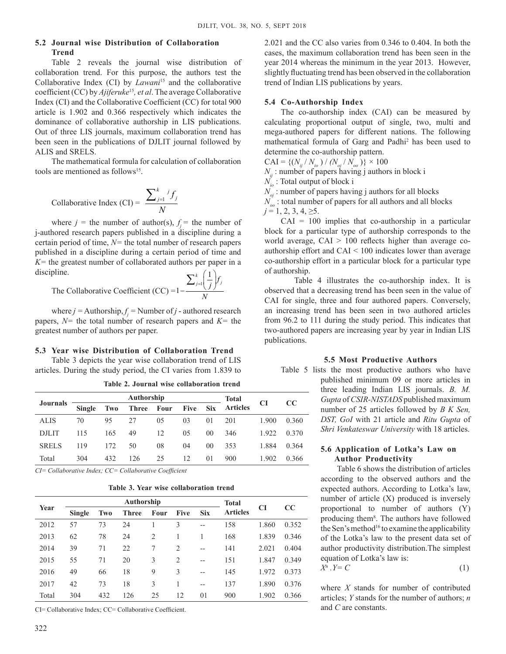### **5.2 Journal wise Distribution of Collaboration Trend**

Table 2 reveals the journal wise distribution of collaboration trend. For this purpose, the authors test the Collaborative Index (CI) by *Lawani*<sup>15</sup> and the collaborative coefficient (CC) by *Ajiferuke*<sup>15</sup>*, et al*. The average Collaborative Index (CI) and the Collaborative Coefficient (CC) for total 900 article is 1.902 and 0.366 respectively which indicates the dominance of collaborative authorship in LIS publications. Out of three LIS journals, maximum collaboration trend has been seen in the publications of DJLIT journal followed by ALIS and SRELS.

The mathematical formula for calculation of collaboration tools are mentioned as follows15.

Collaborative Index (CI) = 
$$
\frac{\sum_{j=1}^{k} f_j}{N}
$$

where  $j =$  the number of author(s),  $f_j =$  the number of j-authored research papers published in a discipline during a certain period of time, *N=* the total number of research papers published in a discipline during a certain period of time and *K=* the greatest number of collaborated authors per paper in a discipline.

plane.  
The Collaborative Coefficient (CC) =1-
$$
\frac{\sum_{j=1}^{k} \left(\frac{1}{j}\right) f_j}{N}
$$

where  $j =$  Authorship,  $f_j =$  Number of  $j$  - authored research papers, *N=* the total number of research papers and *K=* the greatest number of authors per paper.

#### **5.3 Year wise Distribution of Collaboration Trend**

Table 3 depicts the year wise collaboration trend of LIS articles. During the study period, the CI varies from 1.839 to

|                 |               |     | Authorship | <b>Total</b> |             |                 |                 |       |       |
|-----------------|---------------|-----|------------|--------------|-------------|-----------------|-----------------|-------|-------|
| <b>Journals</b> | <b>Single</b> | Two | Three Four |              | <b>Five</b> | <b>Six</b>      | <b>Articles</b> | CI    | cc    |
| <b>ALIS</b>     | 70            | 95  | 27         | 05           | 03          | 01              | 201             | 1.900 | 0.360 |
| <b>DJLIT</b>    | 115           | 165 | 49         | 12           | 05          | 00              | 346             | 1.922 | 0.370 |
| <b>SRELS</b>    | 119           | 172 | 50         | 08           | 04          | 00 <sup>2</sup> | 353             | 1.884 | 0.364 |
| Total           | 304           | 432 | 126        | 25           | 12          | 01              | 900             | 1.902 | 0.366 |

**Table 2. Journal wise collaboration trend**

*CI= Collaborative Index; CC= Collaborative Coefficient*

**Table 3. Year wise collaboration trend**

|       |        |     | Authorship   | Total |                |            |                 |       |          |  |
|-------|--------|-----|--------------|-------|----------------|------------|-----------------|-------|----------|--|
| Year  | Single | Two | <b>Three</b> | Four  | <b>Five</b>    | <b>Six</b> | <b>Articles</b> | CI    | $\bf CC$ |  |
| 2012  | 57     | 73  | 24           |       | 3              | $- -$      | 158             | 1.860 | 0.352    |  |
| 2013  | 62     | 78  | 24           | 2     |                |            | 168             | 1.839 | 0.346    |  |
| 2014  | 39     | 71  | 22           | 7     | $\overline{c}$ | $-$        | 141             | 2.021 | 0.404    |  |
| 2015  | 55     | 71  | 20           | 3     | $\overline{2}$ | $- -$      | 151             | 1.847 | 0.349    |  |
| 2016  | 49     | 66  | 18           | 9     | 3              | $-$        | 145             | 1.972 | 0.373    |  |
| 2017  | 42     | 73  | 18           | 3     |                | $- -$      | 137             | 1.890 | 0.376    |  |
| Total | 304    | 432 | 126          | 25    | 12             | 01         | 900             | 1.902 | 0.366    |  |
|       |        |     |              |       |                |            |                 |       |          |  |

CI= Collaborative Index; CC= Collaborative Coefficient.

2.021 and the CC also varies from 0.346 to 0.404. In both the cases, the maximum collaboration trend has been seen in the year 2014 whereas the minimum in the year 2013. However, slightly fluctuating trend has been observed in the collaboration trend of Indian LIS publications by years.

### **5.4 Co-Authorship Index**

The co-authorship index (CAI) can be measured by calculating proportional output of single, two, multi and mega-authored papers for different nations. The following mathematical formula of Garg and Padhi2 has been used to determine the co-authorship pattern.

 $CAI = \{(N_{ij} / N_{io}) / (N_{oj} / N_{oo})\} \times 100$ 

 $N_{ij}$ : number of papers having j authors in block i

 $N_{in}$ : Total output of block i

 $N_{oi}$ : number of papers having j authors for all blocks

 $N_{oo}$ : total number of papers for all authors and all blocks  $j = 1, 2, 3, 4, \ge 5$ .

 $CAI = 100$  implies that co-authorship in a particular block for a particular type of authorship corresponds to the world average,  $CAI > 100$  reflects higher than average coauthorship effort and CAI < 100 indicates lower than average co-authorship effort in a particular block for a particular type of authorship.

Table 4 illustrates the co-authorship index. It is observed that a decreasing trend has been seen in the value of CAI for single, three and four authored papers. Conversely, an increasing trend has been seen in two authored articles from 96.2 to 111 during the study period. This indicates that two-authored papers are increasing year by year in Indian LIS publications.

#### **5.5 Most Productive Authors**

Table 5 lists the most productive authors who have published minimum 09 or more articles in three leading Indian LIS journals. *B. M. Gupta* of *CSIR-NISTADS* published maximum number of 25 articles followed by *B K Sen, DST, GoI* with 21 article and *Ritu Gupta* of *Shri Venkateswar University* with 18 articles.

## **5.6 Application of Lotka's Law on Author Productivity**

Table 6 shows the distribution of articles according to the observed authors and the expected authors. According to Lotka's law, number of article (X) produced is inversely proportional to number of authors (Y) producing them<sup>8</sup>. The authors have followed the Sen's method<sup>16</sup> to examine the applicability of the Lotka's law to the present data set of author productivity distribution.The simplest equation of Lotka's law is:

$$
X^n \cdot Y = C \tag{1}
$$

where *X* stands for number of contributed articles; *Y* stands for the number of authors; *n*  and *C* are constants.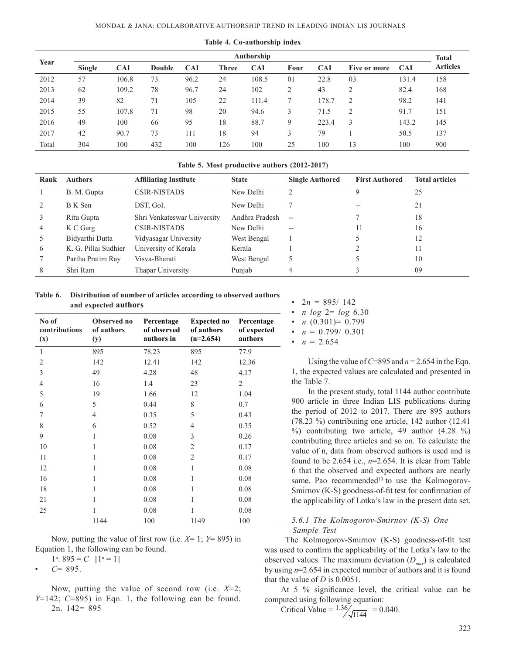| Year  | Authorship    |            |               |            |              |            |                |            |                |            | <b>Total</b>    |
|-------|---------------|------------|---------------|------------|--------------|------------|----------------|------------|----------------|------------|-----------------|
|       | <b>Single</b> | <b>CAI</b> | <b>Double</b> | <b>CAI</b> | <b>Three</b> | <b>CAI</b> | Four           | <b>CAI</b> | Five or more   | <b>CAI</b> | <b>Articles</b> |
| 2012  | 57            | 106.8      | 73            | 96.2       | 24           | 108.5      | 01             | 22.8       | 03             | 131.4      | 158             |
| 2013  | 62            | 109.2      | 78            | 96.7       | 24           | 102        | $\overline{2}$ | 43         | $\overline{2}$ | 82.4       | 168             |
| 2014  | 39            | 82         | 71            | 105        | 22           | 111.4      |                | 178.7      | 2              | 98.2       | 141             |
| 2015  | 55            | 107.8      | 71            | 98         | 20           | 94.6       | 3              | 71.5       | $\overline{2}$ | 91.7       | 151             |
| 2016  | 49            | 100        | 66            | 95         | 18           | 88.7       | 9              | 223.4      | 3              | 143.2      | 145             |
| 2017  | 42            | 90.7       | 73            | 111        | 18           | 94         | 3              | 79         |                | 50.5       | 137             |
| Total | 304           | 100        | 432           | 100        | 126          | 100        | 25             | 100        | 13             | 100        | 900             |

**Table 4. Co-authorship index**

#### **Table 5. Most productive authors (2012-2017)**

| Rank | <b>Authors</b>       | <b>Affiliating Institute</b> | <b>State</b>   | <b>Single Authored</b> | <b>First Authored</b> | <b>Total articles</b> |
|------|----------------------|------------------------------|----------------|------------------------|-----------------------|-----------------------|
|      | B. M. Gupta          | <b>CSIR-NISTADS</b>          | New Delhi      |                        |                       | 25                    |
|      | B K Sen              | DST, GoI.                    | New Delhi      |                        | $- -$                 | 21                    |
|      | Ritu Gupta           | Shri Venkateswar University  | Andhra Pradesh | $-$                    |                       | 18                    |
| 4    | K C Garg             | CSIR-NISTADS                 | New Delhi      | $- -$                  |                       | 16                    |
|      | Bidvarthi Dutta      | Vidyasagar University        | West Bengal    |                        |                       | 12                    |
| 6    | K. G. Pillai Sudhier | University of Kerala         | Kerala         |                        |                       | 11                    |
|      | Partha Pratim Ray    | Visva-Bharati                | West Bengal    |                        |                       | 10                    |
| 8    | Shri Ram             | Thapar University            | Punjab         | 4                      |                       | 09                    |

**Table 6. Distribution of number of articles according to observed authors and expected authors**

| No of<br>contributions<br>(x) | Observed no<br>of authors<br>(y) | Percentage<br>of observed<br>authors in | <b>Expected no</b><br>of authors<br>$(n=2.654)$ | Percentage<br>of expected<br>authors |
|-------------------------------|----------------------------------|-----------------------------------------|-------------------------------------------------|--------------------------------------|
| $\mathbf{1}$                  | 895                              | 78.23                                   | 895                                             | 77.9                                 |
| 2                             | 142                              | 12.41                                   | 142                                             | 12.36                                |
| 3                             | 49                               | 4.28                                    | 48                                              | 4.17                                 |
| 4                             | 16                               | 1.4                                     | 23                                              | $\overline{2}$                       |
| 5                             | 19                               | 1.66                                    | 12                                              | 1.04                                 |
| 6                             | 5                                | 0.44                                    | 8                                               | 0.7                                  |
| 7                             | $\overline{4}$                   | 0.35                                    | 5                                               | 0.43                                 |
| 8                             | 6                                | 0.52                                    | $\overline{4}$                                  | 0.35                                 |
| 9                             | 1                                | 0.08                                    | 3                                               | 0.26                                 |
| 10                            | 1                                | 0.08                                    | $\overline{2}$                                  | 0.17                                 |
| 11                            | 1                                | 0.08                                    | $\overline{2}$                                  | 0.17                                 |
| 12                            | 1                                | 0.08                                    | $\mathbf{1}$                                    | 0.08                                 |
| 16                            | 1                                | 0.08                                    | 1                                               | 0.08                                 |
| 18                            | 1                                | 0.08                                    | 1                                               | 0.08                                 |
| 21                            | 1                                | 0.08                                    | 1                                               | 0.08                                 |
| 25                            | 1                                | 0.08                                    | 1                                               | 0.08                                 |
|                               | 1144                             | 100                                     | 1149                                            | 100                                  |

Now, putting the value of first row (i.e. *X*= 1; *Y*= 895) in Equation 1, the following can be found.

 $1^n$ . 895 = *C* [ $1^n = 1$ ]

 $C = 895$ .

Now, putting the value of second row (i.e. *X*=2; *Y*=142; *C*=895) in Eqn. 1, the following can be found. 2n. 142= 895

|           | • $2n = 895/142$            |
|-----------|-----------------------------|
| $\bullet$ | <i>n</i> $log 2 = log 6.30$ |
|           | • $n(0.301)=0.799$          |
|           | • $n = 0.799/ 0.301$        |
| $\bullet$ | $n = 2.654$                 |

Using the value of  $C=895$  and  $n=2.654$  in the Eqn. 1, the expected values are calculated and presented in the Table 7.

In the present study, total 1144 author contribute 900 article in three Indian LIS publications during the period of 2012 to 2017. There are 895 authors (78.23 %) contributing one article, 142 author (12.41  $\%$ ) contributing two article, 49 author (4.28 %) contributing three articles and so on. To calculate the value of n, data from observed authors is used and is found to be 2.654 i.e.,  $n=2.654$ . It is clear from Table 6 that the observed and expected authors are nearly same. Pao recommended<sup>10</sup> to use the Kolmogorov-Smirnov (K-S) goodness-of-fit test for confirmation of the applicability of Lotka's law in the present data set.

### *5.6.1 The Kolmogorov-Smirnov (K-S) One Sample Test*

 The Kolmogorov-Smirnov (K-S) goodness-of-fit test was used to confirm the applicability of the Lotka's law to the observed values. The maximum deviation  $(D_{\text{max}})$  is calculated by using *n*=2.654 in expected number of authors and it is found that the value of *D* is 0.0051.

At 5 % significance level, the critical value can be computed using following equation:

Critical Value = 
$$
1.36 / \sqrt{1144} = 0.040
$$
.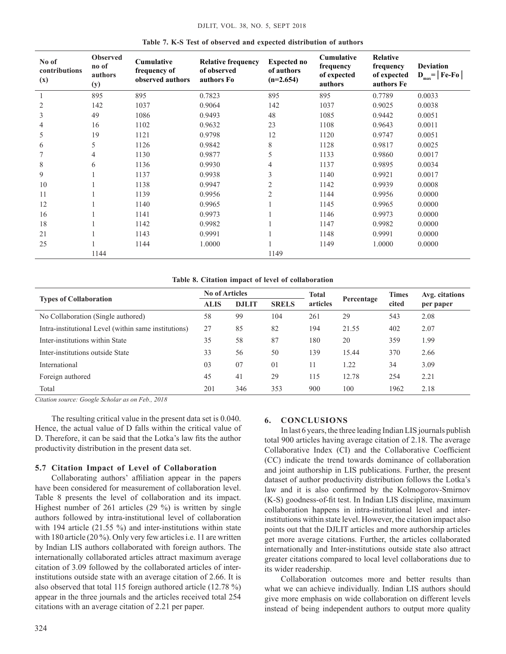| No of<br>contributions<br>(x) | <b>Observed</b><br>no of<br>authors<br>(y) | Cumulative<br>frequency of<br>observed authors | <b>Relative frequency</b><br>of observed<br>authors Fo | <b>Expected no</b><br>of authors<br>$(n=2.654)$ | Cumulative<br>frequency<br>of expected<br>authors | Relative<br>frequency<br>of expected<br>authors Fe | <b>Deviation</b><br>$\mathbf{D}_{\text{max}}$ =   Fe-Fo |
|-------------------------------|--------------------------------------------|------------------------------------------------|--------------------------------------------------------|-------------------------------------------------|---------------------------------------------------|----------------------------------------------------|---------------------------------------------------------|
|                               | 895                                        | 895                                            | 0.7823                                                 | 895                                             | 895                                               | 0.7789                                             | 0.0033                                                  |
| $\overline{2}$                | 142                                        | 1037                                           | 0.9064                                                 | 142                                             | 1037                                              | 0.9025                                             | 0.0038                                                  |
| 3                             | 49                                         | 1086                                           | 0.9493                                                 | 48                                              | 1085                                              | 0.9442                                             | 0.0051                                                  |
| $\overline{4}$                | 16                                         | 1102                                           | 0.9632                                                 | 23                                              | 1108                                              | 0.9643                                             | 0.0011                                                  |
| 5                             | 19                                         | 1121                                           | 0.9798                                                 | 12                                              | 1120                                              | 0.9747                                             | 0.0051                                                  |
| 6                             | 5                                          | 1126                                           | 0.9842                                                 | 8                                               | 1128                                              | 0.9817                                             | 0.0025                                                  |
|                               | 4                                          | 1130                                           | 0.9877                                                 | 5                                               | 1133                                              | 0.9860                                             | 0.0017                                                  |
| 8                             | 6                                          | 1136                                           | 0.9930                                                 | 4                                               | 1137                                              | 0.9895                                             | 0.0034                                                  |
| 9                             |                                            | 1137                                           | 0.9938                                                 | 3                                               | 1140                                              | 0.9921                                             | 0.0017                                                  |
| 10                            |                                            | 1138                                           | 0.9947                                                 | $\overline{c}$                                  | 1142                                              | 0.9939                                             | 0.0008                                                  |
| 11                            |                                            | 1139                                           | 0.9956                                                 | $\overline{c}$                                  | 1144                                              | 0.9956                                             | 0.0000                                                  |
| 12                            |                                            | 1140                                           | 0.9965                                                 |                                                 | 1145                                              | 0.9965                                             | 0.0000                                                  |
| 16                            |                                            | 1141                                           | 0.9973                                                 |                                                 | 1146                                              | 0.9973                                             | 0.0000                                                  |
| 18                            |                                            | 1142                                           | 0.9982                                                 |                                                 | 1147                                              | 0.9982                                             | 0.0000                                                  |
| 21                            |                                            | 1143                                           | 0.9991                                                 |                                                 | 1148                                              | 0.9991                                             | 0.0000                                                  |
| 25                            |                                            | 1144                                           | 1.0000                                                 |                                                 | 1149                                              | 1.0000                                             | 0.0000                                                  |
|                               | 1144                                       |                                                |                                                        | 1149                                            |                                                   |                                                    |                                                         |

#### **Table 7. K-S Test of observed and expected distribution of authors**

#### **Table 8. Citation impact of level of collaboration**

|                                                      | <b>No of Articles</b> |              |              | <b>Total</b> |            | <b>Times</b> | Avg. citations |  |
|------------------------------------------------------|-----------------------|--------------|--------------|--------------|------------|--------------|----------------|--|
| <b>Types of Collaboration</b>                        | <b>ALIS</b>           | <b>DJLIT</b> | <b>SRELS</b> | articles     | Percentage | cited        | per paper      |  |
| No Collaboration (Single authored)                   | 58                    | 99           | 104          | 261          | 29         | 543          | 2.08           |  |
| Intra-institutional Level (within same institutions) | 27                    | 85           | 82           | 194          | 21.55      | 402          | 2.07           |  |
| Inter-institutions within State                      | 35                    | 58           | 87           | 180          | 20         | 359          | 1.99           |  |
| Inter-institutions outside State                     | 33                    | 56           | 50           | 139          | 15.44      | 370          | 2.66           |  |
| International                                        | 03                    | 07           | 01           | 11           | 1.22       | 34           | 3.09           |  |
| Foreign authored                                     | 45                    | 41           | 29           | 115          | 12.78      | 254          | 2.21           |  |
| Total                                                | 201                   | 346          | 353          | 900          | 100        | 1962         | 2.18           |  |

*Citation source: Google Scholar as on Feb., 2018*

The resulting critical value in the present data set is 0.040. Hence, the actual value of D falls within the critical value of D. Therefore, it can be said that the Lotka's law fits the author productivity distribution in the present data set.

### **5.7 Citation Impact of Level of Collaboration**

Collaborating authors' affiliation appear in the papers have been considered for measurement of collaboration level. Table 8 presents the level of collaboration and its impact. Highest number of 261 articles (29 %) is written by single authors followed by intra-institutional level of collaboration with 194 article (21.55 %) and inter-institutions within state with 180 article (20 %). Only very few articles i.e. 11 are written by Indian LIS authors collaborated with foreign authors. The internationally collaborated articles attract maximum average citation of 3.09 followed by the collaborated articles of interinstitutions outside state with an average citation of 2.66. It is also observed that total 115 foreign authored article (12.78 %) appear in the three journals and the articles received total 254 citations with an average citation of 2.21 per paper.

#### 324

### **6. ConclusionS**

In last 6 years, the three leading Indian LIS journals publish total 900 articles having average citation of 2.18. The average Collaborative Index (CI) and the Collaborative Coefficient (CC) indicate the trend towards dominance of collaboration and joint authorship in LIS publications. Further, the present dataset of author productivity distribution follows the Lotka's law and it is also confirmed by the Kolmogorov-Smirnov (K-S) goodness-of-fit test. In Indian LIS discipline, maximum collaboration happens in intra-institutional level and interinstitutions within state level. However, the citation impact also points out that the DJLIT articles and more authorship articles get more average citations. Further, the articles collaborated internationally and Inter-institutions outside state also attract greater citations compared to local level collaborations due to its wider readership.

Collaboration outcomes more and better results than what we can achieve individually. Indian LIS authors should give more emphasis on wide collaboration on different levels instead of being independent authors to output more quality